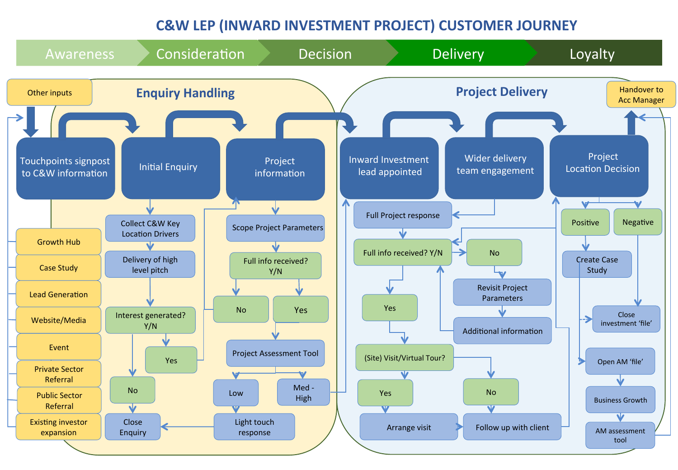## **C&W LEP (INWARD INVESTMENT PROJECT) CUSTOMER JOURNEY**